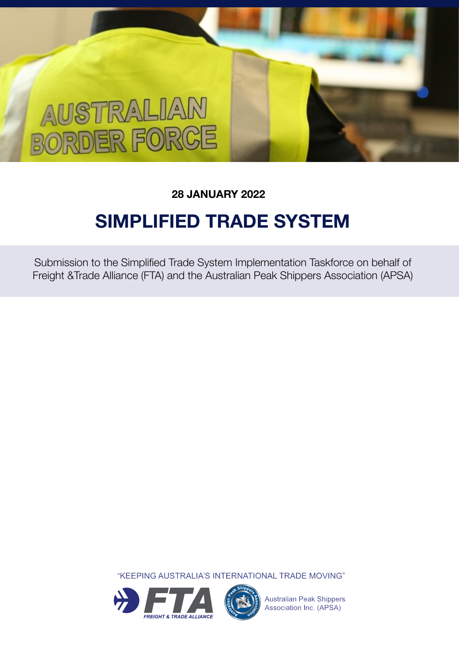# AUSTRALIAN **JORDER FORCE**

### **28 JANUARY 2022**

## **SIMPLIFIED TRADE SYSTEM**

Submission to the Simplified Trade System Implementation Taskforce on behalf of Freight &Trade Alliance (FTA) and the Australian Peak Shippers Association (APSA)

"KEEPING AUSTRALIA'S INTERNATIONAL TRADE MOVING"





**Australian Peak Shippers** Association Inc. (APSA)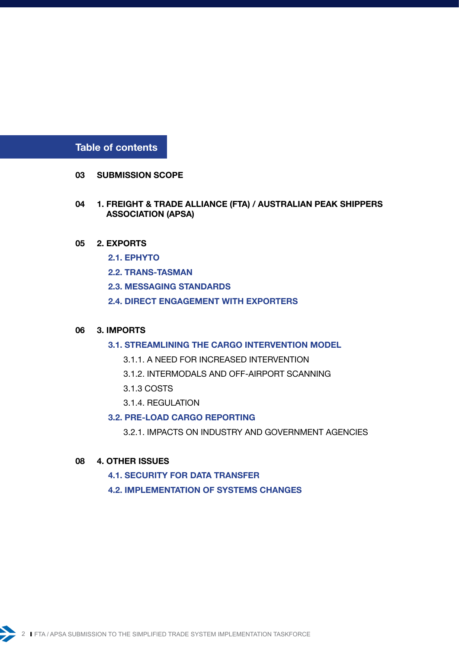**Table of contents** 

- **[03](#page-2-0) SUBMISSION SCOPE**
- **04 [1. FREIGHT & TRADE ALLIANCE \(FTA\) / AUSTRALIAN PEAK SHIPPERS](#page-3-0)   [ASSOCIATION \(APSA\)](#page-3-0)**
- **05 [2. EXPORTS](#page-4-0)**
	- **[2.1. EPHYTO](#page-4-0)**
	- **[2.2. TRANS-TASMAN](#page-4-0)**
	- **[2.3. MESSAGING STANDARDS](#page-4-0)**
	- **[2.4. DIRECT ENGAGEMENT WITH EXPORTERS](#page-4-0)**

#### **06 [3. IMPORTS](#page-5-0)**

- **[3.1. STREAMLINING THE CARGO INTERVENTION MODEL](#page-5-0)**
	- [3.1.1. A NEED FOR INCREASED INTERVENTION](#page-5-0)
	- [3.1.2. INTERMODALS AND OFF-AIRPORT SCANNING](#page-5-0)
	- [3.1.3 COSTS](#page-5-0)
	- [3.1.4. REGULATION](#page-5-0)

#### **[3.2. PRE-LOAD CARGO REPORTING](#page-5-0)**

[3.2.1. IMPACTS ON INDUSTRY AND GOVERNMENT AGENCIES](#page-5-0)

#### **08 [4. OTHER ISSUES](#page-7-0)**

- **[4.1. SECURITY FOR DATA TRANSFER](#page-7-0)**
- **[4.2. IMPLEMENTATION OF SYSTEMS CHANGES](#page-7-0)**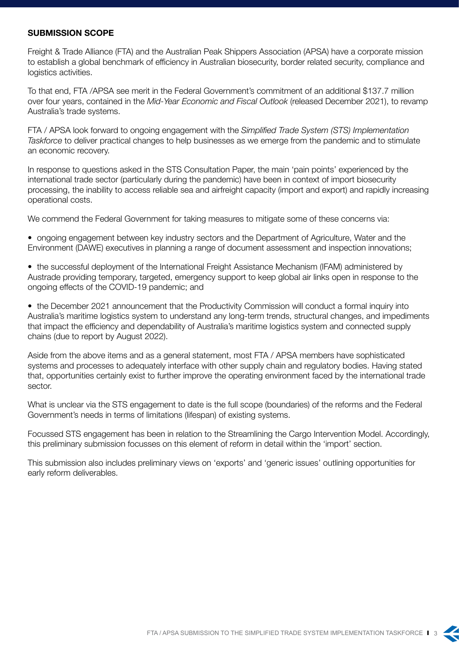#### <span id="page-2-0"></span>**SUBMISSION SCOPE**

Freight & Trade Alliance (FTA) and the Australian Peak Shippers Association (APSA) have a corporate mission to establish a global benchmark of efficiency in Australian biosecurity, border related security, compliance and logistics activities.

To that end, FTA /APSA see merit in the Federal Government's commitment of an additional \$137.7 million over four years, contained in the *Mid-Year Economic and Fiscal Outlook* (released December 2021), to revamp Australia's trade systems.

FTA / APSA look forward to ongoing engagement with the *Simplified Trade System (STS) Implementation Taskforce* to deliver practical changes to help businesses as we emerge from the pandemic and to stimulate an economic recovery.

In response to questions asked in the STS Consultation Paper, the main 'pain points' experienced by the international trade sector (particularly during the pandemic) have been in context of import biosecurity processing, the inability to access reliable sea and airfreight capacity (import and export) and rapidly increasing operational costs.

We commend the Federal Government for taking measures to mitigate some of these concerns via:

- ongoing engagement between key industry sectors and the Department of Agriculture, Water and the Environment (DAWE) executives in planning a range of document assessment and inspection innovations;
- the successful deployment of the International Freight Assistance Mechanism (IFAM) administered by Austrade providing temporary, targeted, emergency support to keep global air links open in response to the ongoing effects of the COVID-19 pandemic; and

• the December 2021 announcement that the Productivity Commission will conduct a formal inquiry into Australia's maritime logistics system to understand any long-term trends, structural changes, and impediments that impact the efficiency and dependability of Australia's maritime logistics system and connected supply chains (due to report by August 2022).

Aside from the above items and as a general statement, most FTA / APSA members have sophisticated systems and processes to adequately interface with other supply chain and regulatory bodies. Having stated that, opportunities certainly exist to further improve the operating environment faced by the international trade sector.

What is unclear via the STS engagement to date is the full scope (boundaries) of the reforms and the Federal Government's needs in terms of limitations (lifespan) of existing systems.

Focussed STS engagement has been in relation to the Streamlining the Cargo Intervention Model. Accordingly, this preliminary submission focusses on this element of reform in detail within the 'import' section.

This submission also includes preliminary views on 'exports' and 'generic issues' outlining opportunities for early reform deliverables.

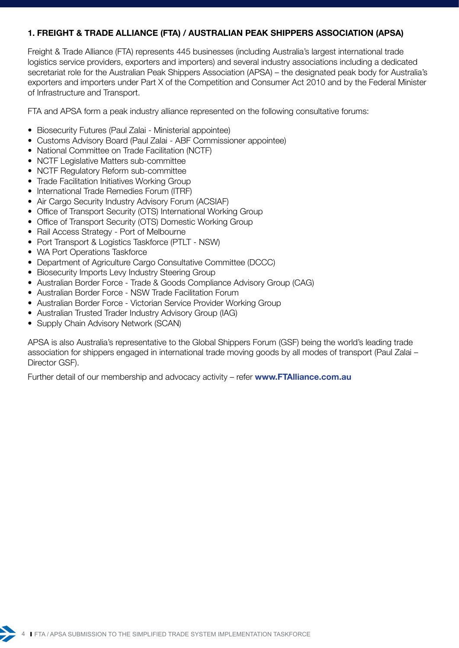#### <span id="page-3-0"></span>**1. FREIGHT & TRADE ALLIANCE (FTA) / AUSTRALIAN PEAK SHIPPERS ASSOCIATION (APSA)**

Freight & Trade Alliance (FTA) represents 445 businesses (including Australia's largest international trade logistics service providers, exporters and importers) and several industry associations including a dedicated secretariat role for the Australian Peak Shippers Association (APSA) – the designated peak body for Australia's exporters and importers under Part X of the Competition and Consumer Act 2010 and by the Federal Minister of Infrastructure and Transport.

FTA and APSA form a peak industry alliance represented on the following consultative forums:

- Biosecurity Futures (Paul Zalai Ministerial appointee)
- Customs Advisory Board (Paul Zalai ABF Commissioner appointee)
- National Committee on Trade Facilitation (NCTF)
- NCTF Legislative Matters sub-committee
- NCTF Regulatory Reform sub-committee
- Trade Facilitation Initiatives Working Group
- International Trade Remedies Forum (ITRF)
- Air Cargo Security Industry Advisory Forum (ACSIAF)
- Office of Transport Security (OTS) International Working Group
- Office of Transport Security (OTS) Domestic Working Group
- Rail Access Strategy Port of Melbourne
- Port Transport & Logistics Taskforce (PTLT NSW)
- WA Port Operations Taskforce
- Department of Agriculture Cargo Consultative Committee (DCCC)
- Biosecurity Imports Levy Industry Steering Group
- Australian Border Force Trade & Goods Compliance Advisory Group (CAG)
- Australian Border Force NSW Trade Facilitation Forum
- Australian Border Force Victorian Service Provider Working Group
- Australian Trusted Trader Industry Advisory Group (IAG)
- Supply Chain Advisory Network (SCAN)

APSA is also Australia's representative to the Global Shippers Forum (GSF) being the world's leading trade association for shippers engaged in international trade moving goods by all modes of transport (Paul Zalai – Director GSF).

Further detail of our membership and advocacy activity – refer **[www.FTAlliance.com.au](http://www.FTAlliance.com.au)**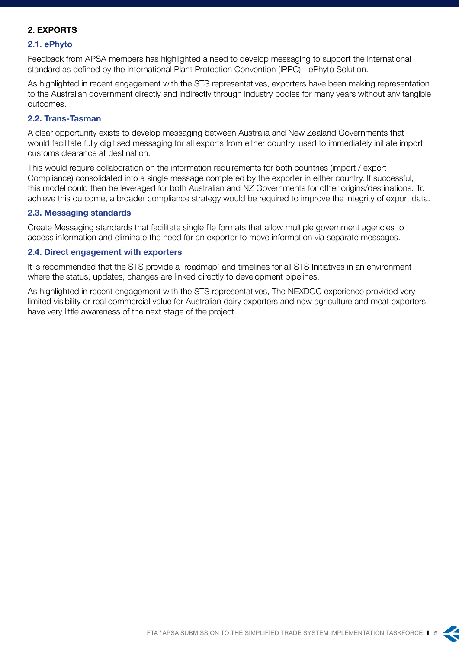#### <span id="page-4-0"></span>**2. EXPORTS**

#### **2.1. ePhyto**

Feedback from APSA members has highlighted a need to develop messaging to support the international standard as defined by the International Plant Protection Convention (IPPC) - ePhyto Solution.

As highlighted in recent engagement with the STS representatives, exporters have been making representation to the Australian government directly and indirectly through industry bodies for many years without any tangible outcomes.

#### **2.2. Trans-Tasman**

A clear opportunity exists to develop messaging between Australia and New Zealand Governments that would facilitate fully digitised messaging for all exports from either country, used to immediately initiate import customs clearance at destination.

This would require collaboration on the information requirements for both countries (import / export Compliance) consolidated into a single message completed by the exporter in either country. If successful, this model could then be leveraged for both Australian and NZ Governments for other origins/destinations. To achieve this outcome, a broader compliance strategy would be required to improve the integrity of export data.

#### **2.3. Messaging standards**

Create Messaging standards that facilitate single file formats that allow multiple government agencies to access information and eliminate the need for an exporter to move information via separate messages.

#### **2.4. Direct engagement with exporters**

It is recommended that the STS provide a 'roadmap' and timelines for all STS Initiatives in an environment where the status, updates, changes are linked directly to development pipelines.

As highlighted in recent engagement with the STS representatives, The NEXDOC experience provided very limited visibility or real commercial value for Australian dairy exporters and now agriculture and meat exporters have very little awareness of the next stage of the project.



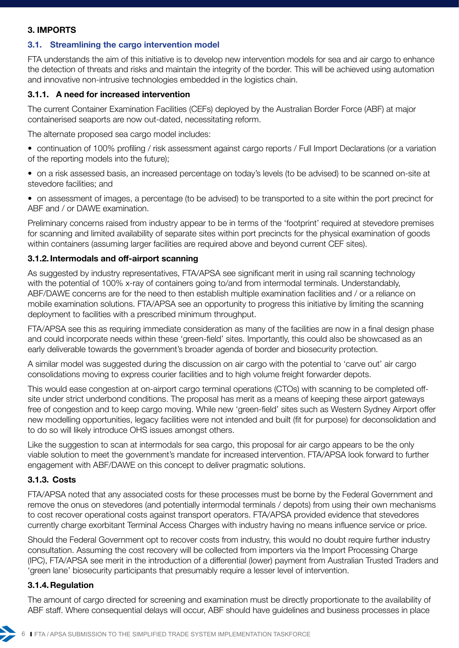#### <span id="page-5-0"></span>**3. IMPORTS**

#### **3.1. Streamlining the cargo intervention model**

FTA understands the aim of this initiative is to develop new intervention models for sea and air cargo to enhance the detection of threats and risks and maintain the integrity of the border. This will be achieved using automation and innovative non-intrusive technologies embedded in the logistics chain.

#### **3.1.1. A need for increased intervention**

The current Container Examination Facilities (CEFs) deployed by the Australian Border Force (ABF) at major containerised seaports are now out-dated, necessitating reform.

The alternate proposed sea cargo model includes:

- continuation of 100% profiling / risk assessment against cargo reports / Full Import Declarations (or a variation of the reporting models into the future);
- on a risk assessed basis, an increased percentage on today's levels (to be advised) to be scanned on-site at stevedore facilities; and
- on assessment of images, a percentage (to be advised) to be transported to a site within the port precinct for ABF and / or DAWE examination.

Preliminary concerns raised from industry appear to be in terms of the 'footprint' required at stevedore premises for scanning and limited availability of separate sites within port precincts for the physical examination of goods within containers (assuming larger facilities are required above and beyond current CEF sites).

#### **3.1.2. Intermodals and off-airport scanning**

As suggested by industry representatives, FTA/APSA see significant merit in using rail scanning technology with the potential of 100% x-ray of containers going to/and from intermodal terminals. Understandably, ABF/DAWE concerns are for the need to then establish multiple examination facilities and / or a reliance on mobile examination solutions. FTA/APSA see an opportunity to progress this initiative by limiting the scanning deployment to facilities with a prescribed minimum throughput.

FTA/APSA see this as requiring immediate consideration as many of the facilities are now in a final design phase and could incorporate needs within these 'green-field' sites. Importantly, this could also be showcased as an early deliverable towards the government's broader agenda of border and biosecurity protection.

A similar model was suggested during the discussion on air cargo with the potential to 'carve out' air cargo consolidations moving to express courier facilities and to high volume freight forwarder depots.

This would ease congestion at on-airport cargo terminal operations (CTOs) with scanning to be completed offsite under strict underbond conditions. The proposal has merit as a means of keeping these airport gateways free of congestion and to keep cargo moving. While new 'green-field' sites such as Western Sydney Airport offer new modelling opportunities, legacy facilities were not intended and built (fit for purpose) for deconsolidation and to do so will likely introduce OHS issues amongst others.

Like the suggestion to scan at intermodals for sea cargo, this proposal for air cargo appears to be the only viable solution to meet the government's mandate for increased intervention. FTA/APSA look forward to further engagement with ABF/DAWE on this concept to deliver pragmatic solutions.

#### **3.1.3. Costs**

FTA/APSA noted that any associated costs for these processes must be borne by the Federal Government and remove the onus on stevedores (and potentially intermodal terminals / depots) from using their own mechanisms to cost recover operational costs against transport operators. FTA/APSA provided evidence that stevedores currently charge exorbitant Terminal Access Charges with industry having no means influence service or price.

Should the Federal Government opt to recover costs from industry, this would no doubt require further industry consultation. Assuming the cost recovery will be collected from importers via the Import Processing Charge (IPC), FTA/APSA see merit in the introduction of a differential (lower) payment from Australian Trusted Traders and 'green lane' biosecurity participants that presumably require a lesser level of intervention.

#### **3.1.4.Regulation**

The amount of cargo directed for screening and examination must be directly proportionate to the availability of ABF staff. Where consequential delays will occur, ABF should have guidelines and business processes in place

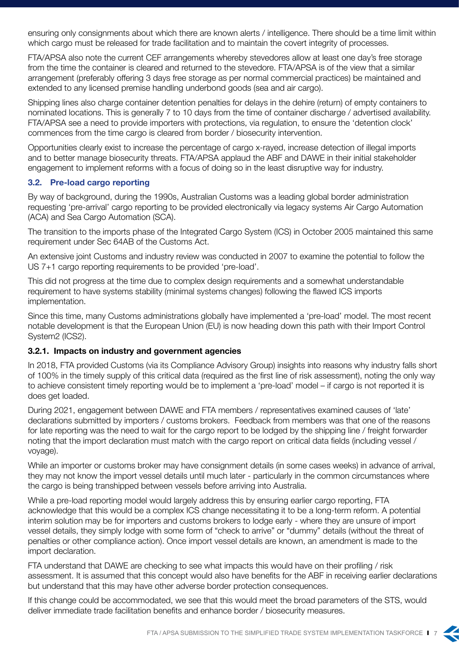ensuring only consignments about which there are known alerts / intelligence. There should be a time limit within which cargo must be released for trade facilitation and to maintain the covert integrity of processes.

FTA/APSA also note the current CEF arrangements whereby stevedores allow at least one day's free storage from the time the container is cleared and returned to the stevedore. FTA/APSA is of the view that a similar arrangement (preferably offering 3 days free storage as per normal commercial practices) be maintained and extended to any licensed premise handling underbond goods (sea and air cargo).

Shipping lines also charge container detention penalties for delays in the dehire (return) of empty containers to nominated locations. This is generally 7 to 10 days from the time of container discharge / advertised availability. FTA/APSA see a need to provide importers with protections, via regulation, to ensure the 'detention clock' commences from the time cargo is cleared from border / biosecurity intervention.

Opportunities clearly exist to increase the percentage of cargo x-rayed, increase detection of illegal imports and to better manage biosecurity threats. FTA/APSA applaud the ABF and DAWE in their initial stakeholder engagement to implement reforms with a focus of doing so in the least disruptive way for industry.

#### **3.2. Pre-load cargo reporting**

By way of background, during the 1990s, Australian Customs was a leading global border administration requesting 'pre-arrival' cargo reporting to be provided electronically via legacy systems Air Cargo Automation (ACA) and Sea Cargo Automation (SCA).

The transition to the imports phase of the Integrated Cargo System (ICS) in October 2005 maintained this same requirement under Sec 64AB of the Customs Act.

An extensive joint Customs and industry review was conducted in 2007 to examine the potential to follow the US 7+1 cargo reporting requirements to be provided 'pre-load'.

This did not progress at the time due to complex design requirements and a somewhat understandable requirement to have systems stability (minimal systems changes) following the flawed ICS imports implementation.

Since this time, many Customs administrations globally have implemented a 'pre-load' model. The most recent notable development is that the European Union (EU) is now heading down this path with their Import Control System2 (ICS2).

#### **3.2.1. Impacts on industry and government agencies**

In 2018, FTA provided Customs (via its Compliance Advisory Group) insights into reasons why industry falls short of 100% in the timely supply of this critical data (required as the first line of risk assessment), noting the only way to achieve consistent timely reporting would be to implement a 'pre-load' model – if cargo is not reported it is does get loaded.

During 2021, engagement between DAWE and FTA members / representatives examined causes of 'late' declarations submitted by importers / customs brokers. Feedback from members was that one of the reasons for late reporting was the need to wait for the cargo report to be lodged by the shipping line / freight forwarder noting that the import declaration must match with the cargo report on critical data fields (including vessel / voyage).

While an importer or customs broker may have consignment details (in some cases weeks) in advance of arrival, they may not know the import vessel details until much later - particularly in the common circumstances where the cargo is being transhipped between vessels before arriving into Australia.

While a pre-load reporting model would largely address this by ensuring earlier cargo reporting, FTA acknowledge that this would be a complex ICS change necessitating it to be a long-term reform. A potential interim solution may be for importers and customs brokers to lodge early - where they are unsure of import vessel details, they simply lodge with some form of "check to arrive" or "dummy" details (without the threat of penalties or other compliance action). Once import vessel details are known, an amendment is made to the import declaration.

FTA understand that DAWE are checking to see what impacts this would have on their profiling / risk assessment. It is assumed that this concept would also have benefits for the ABF in receiving earlier declarations but understand that this may have other adverse border protection consequences.

If this change could be accommodated, we see that this would meet the broad parameters of the STS, would deliver immediate trade facilitation benefits and enhance border / biosecurity measures.